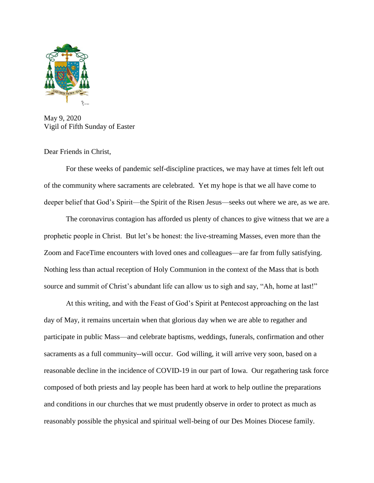

May 9, 2020 Vigil of Fifth Sunday of Easter

Dear Friends in Christ,

For these weeks of pandemic self-discipline practices, we may have at times felt left out of the community where sacraments are celebrated. Yet my hope is that we all have come to deeper belief that God's Spirit—the Spirit of the Risen Jesus—seeks out where we are, as we are.

The coronavirus contagion has afforded us plenty of chances to give witness that we are a prophetic people in Christ. But let's be honest: the live-streaming Masses, even more than the Zoom and FaceTime encounters with loved ones and colleagues—are far from fully satisfying. Nothing less than actual reception of Holy Communion in the context of the Mass that is both source and summit of Christ's abundant life can allow us to sigh and say, "Ah, home at last!"

At this writing, and with the Feast of God's Spirit at Pentecost approaching on the last day of May, it remains uncertain when that glorious day when we are able to regather and participate in public Mass—and celebrate baptisms, weddings, funerals, confirmation and other sacraments as a full community--will occur. God willing, it will arrive very soon, based on a reasonable decline in the incidence of COVID-19 in our part of Iowa. Our regathering task force composed of both priests and lay people has been hard at work to help outline the preparations and conditions in our churches that we must prudently observe in order to protect as much as reasonably possible the physical and spiritual well-being of our Des Moines Diocese family.